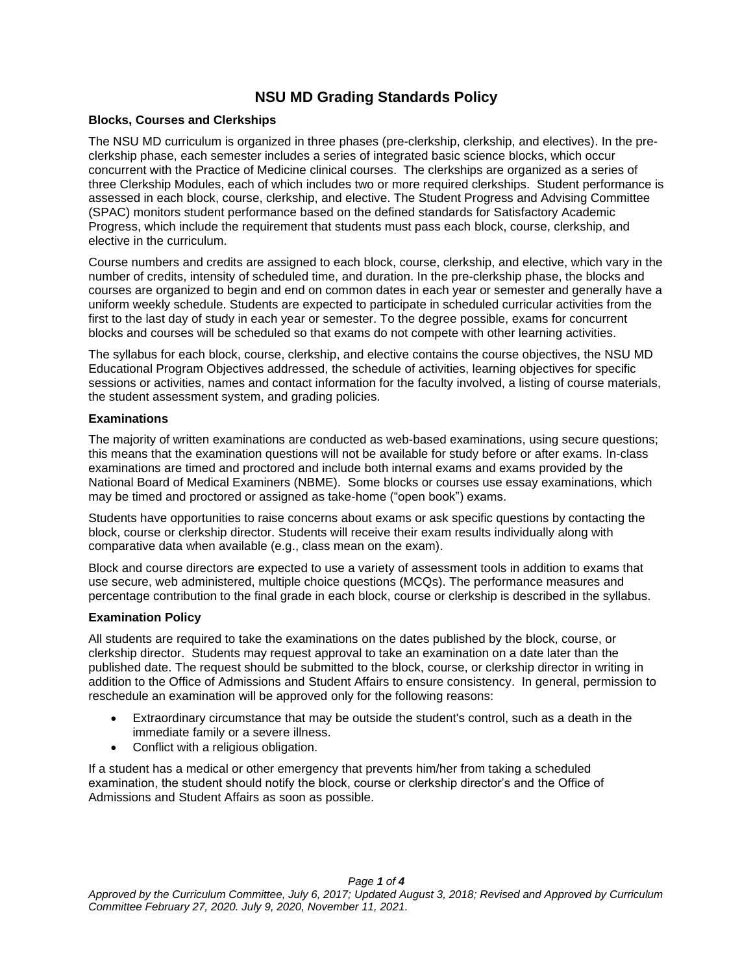# **NSU MD Grading Standards Policy**

## **Blocks, Courses and Clerkships**

The NSU MD curriculum is organized in three phases (pre-clerkship, clerkship, and electives). In the preclerkship phase, each semester includes a series of integrated basic science blocks, which occur concurrent with the Practice of Medicine clinical courses. The clerkships are organized as a series of three Clerkship Modules, each of which includes two or more required clerkships. Student performance is assessed in each block, course, clerkship, and elective. The Student Progress and Advising Committee (SPAC) monitors student performance based on the defined standards for Satisfactory Academic Progress, which include the requirement that students must pass each block, course, clerkship, and elective in the curriculum.

Course numbers and credits are assigned to each block, course, clerkship, and elective, which vary in the number of credits, intensity of scheduled time, and duration. In the pre-clerkship phase, the blocks and courses are organized to begin and end on common dates in each year or semester and generally have a uniform weekly schedule. Students are expected to participate in scheduled curricular activities from the first to the last day of study in each year or semester. To the degree possible, exams for concurrent blocks and courses will be scheduled so that exams do not compete with other learning activities.

The syllabus for each block, course, clerkship, and elective contains the course objectives, the NSU MD Educational Program Objectives addressed, the schedule of activities, learning objectives for specific sessions or activities, names and contact information for the faculty involved, a listing of course materials, the student assessment system, and grading policies.

## **Examinations**

The majority of written examinations are conducted as web-based examinations, using secure questions; this means that the examination questions will not be available for study before or after exams. In-class examinations are timed and proctored and include both internal exams and exams provided by the National Board of Medical Examiners (NBME). Some blocks or courses use essay examinations, which may be timed and proctored or assigned as take-home ("open book") exams.

Students have opportunities to raise concerns about exams or ask specific questions by contacting the block, course or clerkship director. Students will receive their exam results individually along with comparative data when available (e.g., class mean on the exam).

Block and course directors are expected to use a variety of assessment tools in addition to exams that use secure, web administered, multiple choice questions (MCQs). The performance measures and percentage contribution to the final grade in each block, course or clerkship is described in the syllabus.

# **Examination Policy**

All students are required to take the examinations on the dates published by the block, course, or clerkship director. Students may request approval to take an examination on a date later than the published date. The request should be submitted to the block, course, or clerkship director in writing in addition to the Office of Admissions and Student Affairs to ensure consistency. In general, permission to reschedule an examination will be approved only for the following reasons:

- Extraordinary circumstance that may be outside the student's control, such as a death in the immediate family or a severe illness.
- Conflict with a religious obligation.

If a student has a medical or other emergency that prevents him/her from taking a scheduled examination, the student should notify the block, course or clerkship director's and the Office of Admissions and Student Affairs as soon as possible.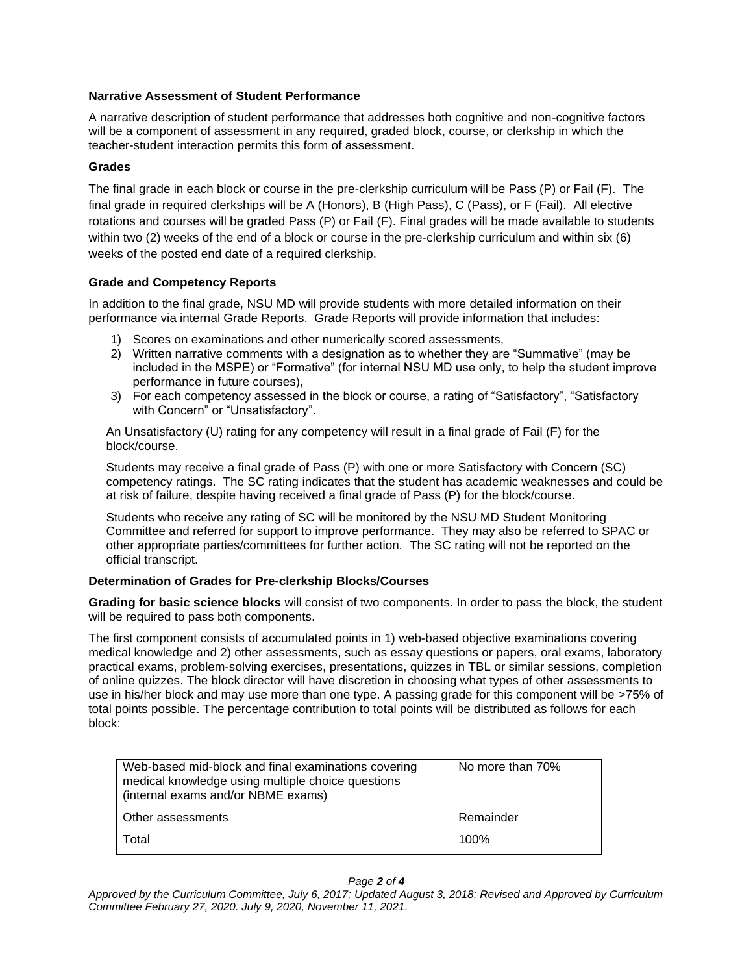## **Narrative Assessment of Student Performance**

A narrative description of student performance that addresses both cognitive and non-cognitive factors will be a component of assessment in any required, graded block, course, or clerkship in which the teacher-student interaction permits this form of assessment.

## **Grades**

The final grade in each block or course in the pre-clerkship curriculum will be Pass (P) or Fail (F). The final grade in required clerkships will be A (Honors), B (High Pass), C (Pass), or F (Fail). All elective rotations and courses will be graded Pass (P) or Fail (F). Final grades will be made available to students within two (2) weeks of the end of a block or course in the pre-clerkship curriculum and within six (6) weeks of the posted end date of a required clerkship.

## **Grade and Competency Reports**

In addition to the final grade, NSU MD will provide students with more detailed information on their performance via internal Grade Reports. Grade Reports will provide information that includes:

- 1) Scores on examinations and other numerically scored assessments,
- 2) Written narrative comments with a designation as to whether they are "Summative" (may be included in the MSPE) or "Formative" (for internal NSU MD use only, to help the student improve performance in future courses),
- 3) For each competency assessed in the block or course, a rating of "Satisfactory", "Satisfactory with Concern" or "Unsatisfactory".

An Unsatisfactory (U) rating for any competency will result in a final grade of Fail (F) for the block/course.

Students may receive a final grade of Pass (P) with one or more Satisfactory with Concern (SC) competency ratings. The SC rating indicates that the student has academic weaknesses and could be at risk of failure, despite having received a final grade of Pass (P) for the block/course.

Students who receive any rating of SC will be monitored by the NSU MD Student Monitoring Committee and referred for support to improve performance. They may also be referred to SPAC or other appropriate parties/committees for further action. The SC rating will not be reported on the official transcript.

# **Determination of Grades for Pre-clerkship Blocks/Courses**

**Grading for basic science blocks** will consist of two components. In order to pass the block, the student will be required to pass both components.

The first component consists of accumulated points in 1) web-based objective examinations covering medical knowledge and 2) other assessments, such as essay questions or papers, oral exams, laboratory practical exams, problem-solving exercises, presentations, quizzes in TBL or similar sessions, completion of online quizzes. The block director will have discretion in choosing what types of other assessments to use in his/her block and may use more than one type. A passing grade for this component will be >75% of total points possible. The percentage contribution to total points will be distributed as follows for each block:

| Web-based mid-block and final examinations covering<br>medical knowledge using multiple choice questions<br>(internal exams and/or NBME exams) | No more than 70% |
|------------------------------------------------------------------------------------------------------------------------------------------------|------------------|
| Other assessments                                                                                                                              | Remainder        |
| Total                                                                                                                                          | 100%             |

#### *Page 2 of 4*

*Approved by the Curriculum Committee, July 6, 2017; Updated August 3, 2018; Revised and Approved by Curriculum Committee February 27, 2020. July 9, 2020, November 11, 2021.*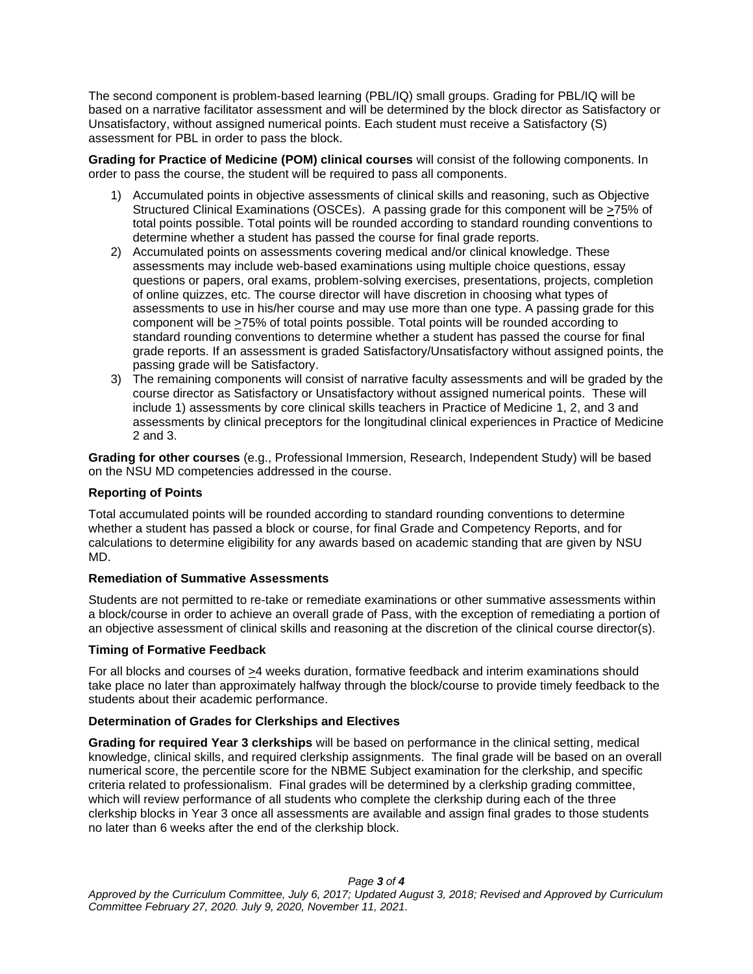The second component is problem-based learning (PBL/IQ) small groups. Grading for PBL/IQ will be based on a narrative facilitator assessment and will be determined by the block director as Satisfactory or Unsatisfactory, without assigned numerical points. Each student must receive a Satisfactory (S) assessment for PBL in order to pass the block.

**Grading for Practice of Medicine (POM) clinical courses** will consist of the following components. In order to pass the course, the student will be required to pass all components.

- 1) Accumulated points in objective assessments of clinical skills and reasoning, such as Objective Structured Clinical Examinations (OSCEs). A passing grade for this component will be  $\geq$ 75% of total points possible. Total points will be rounded according to standard rounding conventions to determine whether a student has passed the course for final grade reports.
- 2) Accumulated points on assessments covering medical and/or clinical knowledge. These assessments may include web-based examinations using multiple choice questions, essay questions or papers, oral exams, problem-solving exercises, presentations, projects, completion of online quizzes, etc. The course director will have discretion in choosing what types of assessments to use in his/her course and may use more than one type. A passing grade for this component will be >75% of total points possible. Total points will be rounded according to standard rounding conventions to determine whether a student has passed the course for final grade reports. If an assessment is graded Satisfactory/Unsatisfactory without assigned points, the passing grade will be Satisfactory.
- 3) The remaining components will consist of narrative faculty assessments and will be graded by the course director as Satisfactory or Unsatisfactory without assigned numerical points. These will include 1) assessments by core clinical skills teachers in Practice of Medicine 1, 2, and 3 and assessments by clinical preceptors for the longitudinal clinical experiences in Practice of Medicine 2 and 3.

**Grading for other courses** (e.g., Professional Immersion, Research, Independent Study) will be based on the NSU MD competencies addressed in the course.

### **Reporting of Points**

Total accumulated points will be rounded according to standard rounding conventions to determine whether a student has passed a block or course, for final Grade and Competency Reports, and for calculations to determine eligibility for any awards based on academic standing that are given by NSU MD.

#### **Remediation of Summative Assessments**

Students are not permitted to re-take or remediate examinations or other summative assessments within a block/course in order to achieve an overall grade of Pass, with the exception of remediating a portion of an objective assessment of clinical skills and reasoning at the discretion of the clinical course director(s).

#### **Timing of Formative Feedback**

For all blocks and courses of >4 weeks duration, formative feedback and interim examinations should take place no later than approximately halfway through the block/course to provide timely feedback to the students about their academic performance.

# **Determination of Grades for Clerkships and Electives**

**Grading for required Year 3 clerkships** will be based on performance in the clinical setting, medical knowledge, clinical skills, and required clerkship assignments. The final grade will be based on an overall numerical score, the percentile score for the NBME Subject examination for the clerkship, and specific criteria related to professionalism. Final grades will be determined by a clerkship grading committee, which will review performance of all students who complete the clerkship during each of the three clerkship blocks in Year 3 once all assessments are available and assign final grades to those students no later than 6 weeks after the end of the clerkship block.

*Page 3 of 4*

*Approved by the Curriculum Committee, July 6, 2017; Updated August 3, 2018; Revised and Approved by Curriculum Committee February 27, 2020. July 9, 2020, November 11, 2021.*